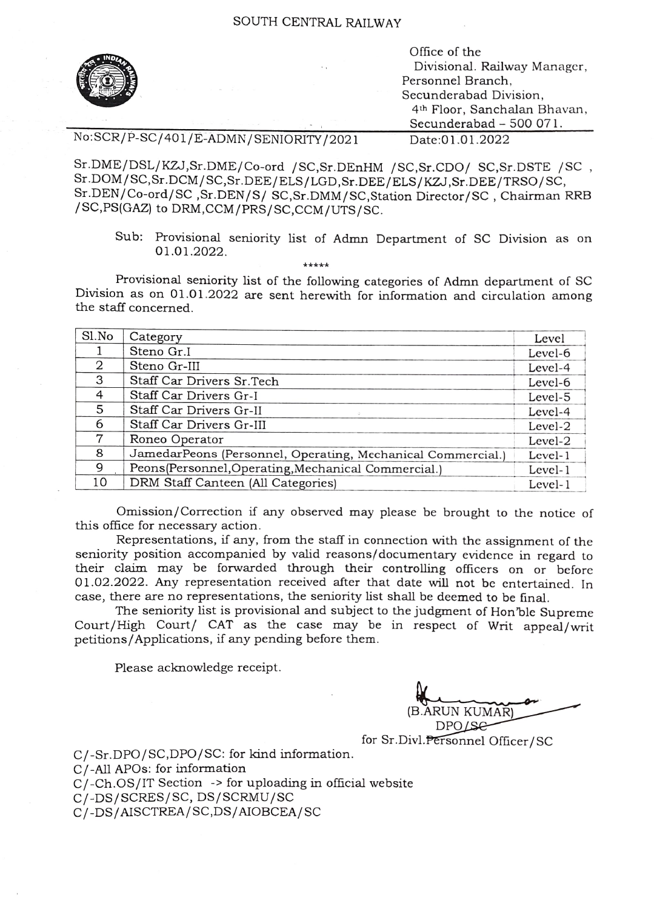

Office of the Indeepth Divisional. Railway Manager, Personnel Branch, Secunderabad Division, 4th Floor, Sanchalan Bhavan,  $Secunderabad - 500 071.$ <br>Date:01.01.2022

No:SCR/P-SC/401/E-ADMN/SENIORITY/2021

Sr.DME/DSL/KZJ,Sr.DME/Co-ord /SC,Sr.DEnHM /SC,Sr.CDO/ SC,Sr.DSTE /SC,<br>Sr.DOM/SC,Sr.DCM/SC,Sr.DEE/ELS/LGD,Sr.DEE/ELS/KZJ,Sr.DEE/TRSO/SC, Sr.DEN/Co-ord/SC,Sr.DEN/S/ SC,Sr.DMM/SC,Station Director/SC, Chairman RRB /SC.PS(GAZ) to DRM,CCM/PRS/SC,cCM/UTS/SC.

Sub: Provisional seniority list of Admn Department of SC Division as on  $01.01.2022$ .

Provisional seniority list of the following categories of Admn department of SC Division as on 01.01.2022 are sent herewith for information and circulation among the staff concerned.

| Sl.No | Category                                                    | Level   |
|-------|-------------------------------------------------------------|---------|
|       | Steno Gr.I                                                  | Level-6 |
| 2     | Steno Gr-III                                                | Level-4 |
| 3     | Staff Car Drivers Sr.Tech                                   | Level-6 |
| 4     | Staff Car Drivers Gr-I                                      | Level-5 |
| 5.    | Staff Car Drivers Gr-II                                     | Level-4 |
| 6     | Staff Car Drivers Gr-III                                    | Level-2 |
| 7     | Roneo Operator                                              | Level-2 |
| 8     | JamedarPeons (Personnel, Operating, Mechanical Commercial.) | Level-1 |
| g     | Peons(Personnel, Operating, Mechanical Commercial.)         | Level-1 |
| 10    | DRM Staff Canteen (All Categories)                          | Level-1 |

Omission/Correction if any observed may please be brought to the notice of this office for necessary action.

Representations, if any, from the staff in connection with the assignment of the seniority position accompanied by valid reasons/documentary evidence in regard to their claim may be forwarded through their controlling officers on or before 01.02.2022. Any representation received after that date will not be entertained. In case, there are no representations, the seniority list shall be deemed to be final.

The seniority list is provisional and subject to the judgment of Hon'ble Supreme Court/High Court/ CAT as the case may be in respect of Writ appeal/writ petitions/Applications, if any pending before them.

Please acknowledge receipt.

RUN KUMAR DPO/Se

for Sr.Divl.Personnel Officer/SC

C/-Sr.DPO/SC,DP0/SC: for kind information.

C/-All APOs: for information

C/-Ch.oS/IT Section -> for uploading in official website

C/-DS/SCRES/SC, DS/SCRMU/SC

C/-DS/AISCTREA/SC,DS/AIOBCEA/SC